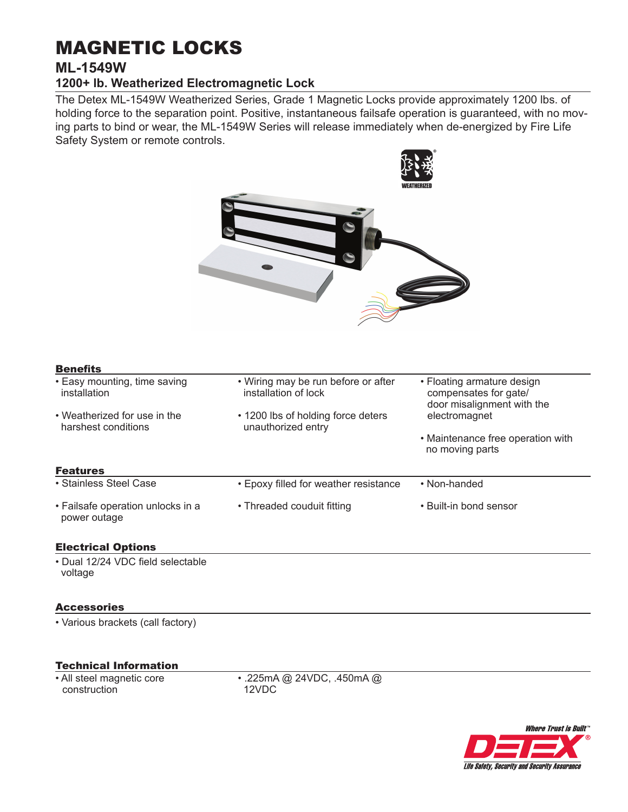# MAGNETIC LOCKS

## **ML-1549W**

## **1200+ lb. Weatherized Electromagnetic Lock**

The Detex ML-1549W Weatherized Series, Grade 1 Magnetic Locks provide approximately 1200 lbs. of holding force to the separation point. Positive, instantaneous failsafe operation is guaranteed, with no moving parts to bind or wear, the ML-1549W Series will release immediately when de-energized by Fire Life Safety System or remote controls.

 $\bullet$ 

| <b>Benefits</b>                                     |                                                             |                                                                                   |
|-----------------------------------------------------|-------------------------------------------------------------|-----------------------------------------------------------------------------------|
| • Easy mounting, time saving<br>installation        | • Wiring may be run before or after<br>installation of lock | • Floating armature design<br>compensates for gate/<br>door misalignment with the |
| • Weatherized for use in the<br>harshest conditions | • 1200 lbs of holding force deters<br>unauthorized entry    | electromagnet                                                                     |
|                                                     |                                                             | • Maintenance free operation with<br>no moving parts                              |
| <b>Features</b>                                     |                                                             |                                                                                   |
| • Stainless Steel Case                              | • Epoxy filled for weather resistance                       | • Non-handed                                                                      |
| • Failsafe operation unlocks in a<br>power outage   | • Threaded couduit fitting                                  | • Built-in bond sensor                                                            |
| <b>Electrical Options</b>                           |                                                             |                                                                                   |
| · Dual 12/24 VDC field selectable<br>voltage        |                                                             |                                                                                   |
| <b>Accessories</b>                                  |                                                             |                                                                                   |
| • Various brackets (call factory)                   |                                                             |                                                                                   |

#### Technical Information

• All steel magnetic core construction

• .225mA @ 24VDC, .450mA @ 12VDC